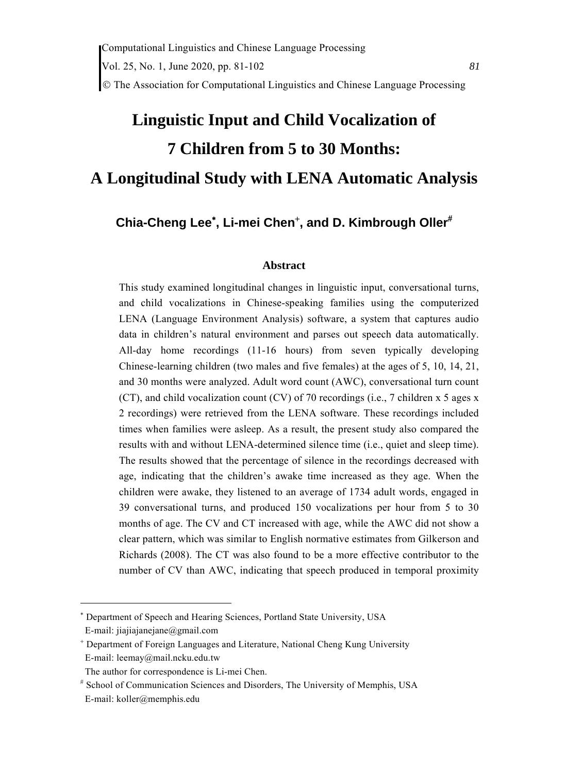# **Linguistic Input and Child Vocalization of 7 Children from 5 to 30 Months: A Longitudinal Study with LENA Automatic Analysis**

# **Chia-Cheng Lee , Li-mei Chen , and D. Kimbrough Oller**

#### **Abstract**

This study examined longitudinal changes in linguistic input, conversational turns, and child vocalizations in Chinese-speaking families using the computerized LENA (Language Environment Analysis) software, a system that captures audio data in children's natural environment and parses out speech data automatically. All-day home recordings (11-16 hours) from seven typically developing Chinese-learning children (two males and five females) at the ages of 5, 10, 14, 21, and 30 months were analyzed. Adult word count (AWC), conversational turn count (CT), and child vocalization count (CV) of 70 recordings (i.e., 7 children x 5 ages x 2 recordings) were retrieved from the LENA software. These recordings included times when families were asleep. As a result, the present study also compared the results with and without LENA-determined silence time (i.e., quiet and sleep time). The results showed that the percentage of silence in the recordings decreased with age, indicating that the children's awake time increased as they age. When the children were awake, they listened to an average of 1734 adult words, engaged in 39 conversational turns, and produced 150 vocalizations per hour from 5 to 30 months of age. The CV and CT increased with age, while the AWC did not show a clear pattern, which was similar to English normative estimates from Gilkerson and Richards (2008). The CT was also found to be a more effective contributor to the number of CV than AWC, indicating that speech produced in temporal proximity

<sup>\*</sup> Department of Speech and Hearing Sciences, Portland State University, USA

E-mail: jiajiajanejane@gmail.com

 Department of Foreign Languages and Literature, National Cheng Kung University E-mail: leemay@mail.ncku.edu.tw

The author for correspondence is Li-mei Chen.

 School of Communication Sciences and Disorders, The University of Memphis, USA E-mail: koller@memphis.edu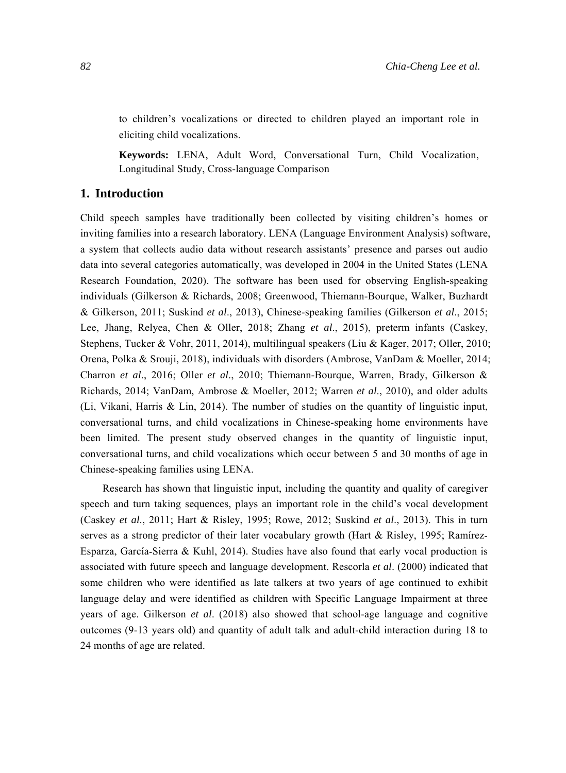to children's vocalizations or directed to children played an important role in eliciting child vocalizations.

**Keywords:** LENA, Adult Word, Conversational Turn, Child Vocalization, Longitudinal Study, Cross-language Comparison

#### **1. Introduction**

Child speech samples have traditionally been collected by visiting children's homes or inviting families into a research laboratory. LENA (Language Environment Analysis) software, a system that collects audio data without research assistants' presence and parses out audio data into several categories automatically, was developed in 2004 in the United States (LENA Research Foundation, 2020). The software has been used for observing English-speaking individuals (Gilkerson & Richards, 2008; Greenwood, Thiemann-Bourque, Walker, Buzhardt & Gilkerson, 2011; Suskind *et al*., 2013), Chinese-speaking families (Gilkerson *et al*., 2015; Lee, Jhang, Relyea, Chen & Oller, 2018; Zhang *et al*., 2015), preterm infants (Caskey, Stephens, Tucker & Vohr, 2011, 2014), multilingual speakers (Liu & Kager, 2017; Oller, 2010; Orena, Polka & Srouji, 2018), individuals with disorders (Ambrose, VanDam & Moeller, 2014; Charron *et al*., 2016; Oller *et al*., 2010; Thiemann-Bourque, Warren, Brady, Gilkerson & Richards, 2014; VanDam, Ambrose & Moeller, 2012; Warren *et al*., 2010), and older adults (Li, Vikani, Harris & Lin, 2014). The number of studies on the quantity of linguistic input, conversational turns, and child vocalizations in Chinese-speaking home environments have been limited. The present study observed changes in the quantity of linguistic input, conversational turns, and child vocalizations which occur between 5 and 30 months of age in Chinese-speaking families using LENA.

Research has shown that linguistic input, including the quantity and quality of caregiver speech and turn taking sequences, plays an important role in the child's vocal development (Caskey *et al*., 2011; Hart & Risley, 1995; Rowe, 2012; Suskind *et al*., 2013). This in turn serves as a strong predictor of their later vocabulary growth (Hart & Risley, 1995; Ramírez-Esparza, García-Sierra & Kuhl, 2014). Studies have also found that early vocal production is associated with future speech and language development. Rescorla *et al*. (2000) indicated that some children who were identified as late talkers at two years of age continued to exhibit language delay and were identified as children with Specific Language Impairment at three years of age. Gilkerson *et al*. (2018) also showed that school-age language and cognitive outcomes (9-13 years old) and quantity of adult talk and adult-child interaction during 18 to 24 months of age are related.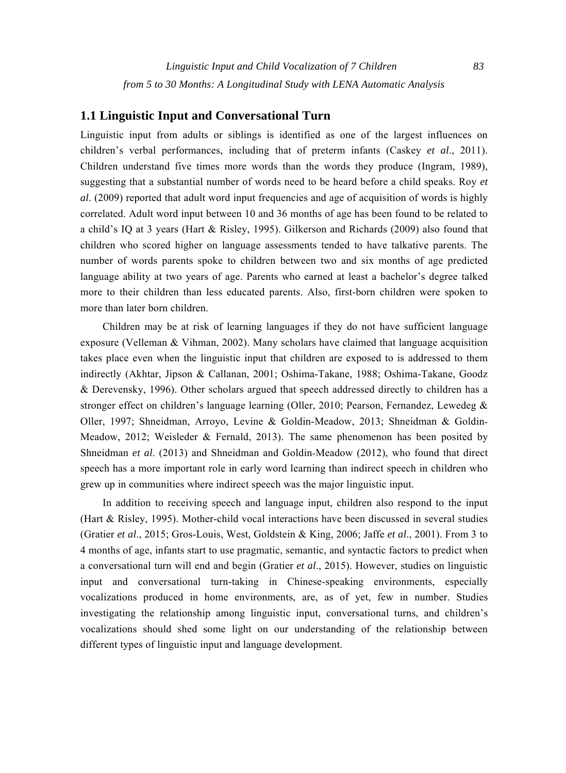## **1.1 Linguistic Input and Conversational Turn**

Linguistic input from adults or siblings is identified as one of the largest influences on children's verbal performances, including that of preterm infants (Caskey *et al*., 2011). Children understand five times more words than the words they produce (Ingram, 1989), suggesting that a substantial number of words need to be heard before a child speaks. Roy *et al*. (2009) reported that adult word input frequencies and age of acquisition of words is highly correlated. Adult word input between 10 and 36 months of age has been found to be related to a child's IQ at 3 years (Hart & Risley, 1995). Gilkerson and Richards (2009) also found that children who scored higher on language assessments tended to have talkative parents. The number of words parents spoke to children between two and six months of age predicted language ability at two years of age. Parents who earned at least a bachelor's degree talked more to their children than less educated parents. Also, first-born children were spoken to more than later born children.

Children may be at risk of learning languages if they do not have sufficient language exposure (Velleman & Vihman, 2002). Many scholars have claimed that language acquisition takes place even when the linguistic input that children are exposed to is addressed to them indirectly (Akhtar, Jipson & Callanan, 2001; Oshima-Takane, 1988; Oshima-Takane, Goodz & Derevensky, 1996). Other scholars argued that speech addressed directly to children has a stronger effect on children's language learning (Oller, 2010; Pearson, Fernandez, Lewedeg & Oller, 1997; Shneidman, Arroyo, Levine & Goldin-Meadow, 2013; Shneidman & Goldin-Meadow, 2012; Weisleder  $\&$  Fernald, 2013). The same phenomenon has been posited by Shneidman *et al.* (2013) and Shneidman and Goldin-Meadow (2012), who found that direct speech has a more important role in early word learning than indirect speech in children who grew up in communities where indirect speech was the major linguistic input.

In addition to receiving speech and language input, children also respond to the input (Hart & Risley, 1995). Mother-child vocal interactions have been discussed in several studies (Gratier *et al*., 2015; Gros-Louis, West, Goldstein & King, 2006; Jaffe *et al*., 2001). From 3 to 4 months of age, infants start to use pragmatic, semantic, and syntactic factors to predict when a conversational turn will end and begin (Gratier *et al*., 2015). However, studies on linguistic input and conversational turn-taking in Chinese-speaking environments, especially vocalizations produced in home environments, are, as of yet, few in number. Studies investigating the relationship among linguistic input, conversational turns, and children's vocalizations should shed some light on our understanding of the relationship between different types of linguistic input and language development.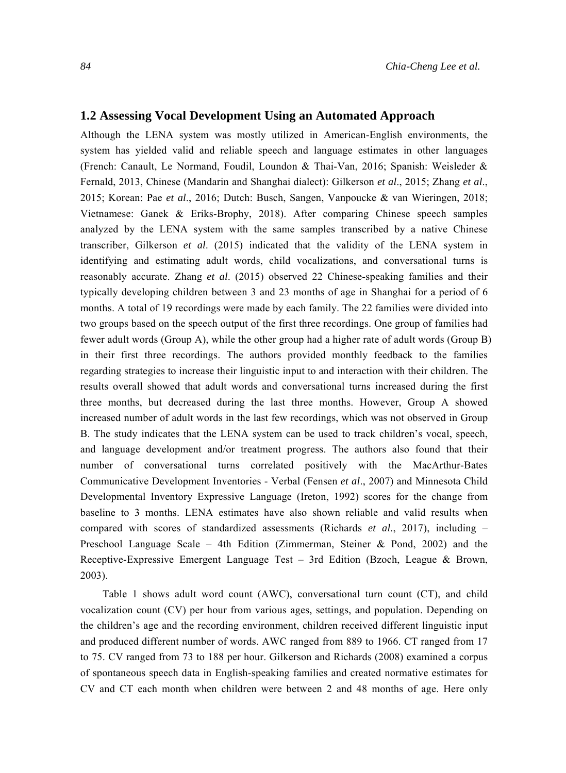#### **1.2 Assessing Vocal Development Using an Automated Approach**

Although the LENA system was mostly utilized in American-English environments, the system has yielded valid and reliable speech and language estimates in other languages (French: Canault, Le Normand, Foudil, Loundon & Thai-Van, 2016; Spanish: Weisleder & Fernald, 2013, Chinese (Mandarin and Shanghai dialect): Gilkerson *et al*., 2015; Zhang *et al*., 2015; Korean: Pae *et al*., 2016; Dutch: Busch, Sangen, Vanpoucke & van Wieringen, 2018; Vietnamese: Ganek & Eriks-Brophy, 2018). After comparing Chinese speech samples analyzed by the LENA system with the same samples transcribed by a native Chinese transcriber, Gilkerson *et al*. (2015) indicated that the validity of the LENA system in identifying and estimating adult words, child vocalizations, and conversational turns is reasonably accurate. Zhang *et al*. (2015) observed 22 Chinese-speaking families and their typically developing children between 3 and 23 months of age in Shanghai for a period of 6 months. A total of 19 recordings were made by each family. The 22 families were divided into two groups based on the speech output of the first three recordings. One group of families had fewer adult words (Group A), while the other group had a higher rate of adult words (Group B) in their first three recordings. The authors provided monthly feedback to the families regarding strategies to increase their linguistic input to and interaction with their children. The results overall showed that adult words and conversational turns increased during the first three months, but decreased during the last three months. However, Group A showed increased number of adult words in the last few recordings, which was not observed in Group B. The study indicates that the LENA system can be used to track children's vocal, speech, and language development and/or treatment progress. The authors also found that their number of conversational turns correlated positively with the MacArthur-Bates Communicative Development Inventories - Verbal (Fensen *et al*., 2007) and Minnesota Child Developmental Inventory Expressive Language (Ireton, 1992) scores for the change from baseline to 3 months. LENA estimates have also shown reliable and valid results when compared with scores of standardized assessments (Richards *et al*., 2017), including – Preschool Language Scale – 4th Edition (Zimmerman, Steiner & Pond, 2002) and the Receptive-Expressive Emergent Language Test – 3rd Edition (Bzoch, League & Brown, 2003).

Table 1 shows adult word count (AWC), conversational turn count (CT), and child vocalization count (CV) per hour from various ages, settings, and population. Depending on the children's age and the recording environment, children received different linguistic input and produced different number of words. AWC ranged from 889 to 1966. CT ranged from 17 to 75. CV ranged from 73 to 188 per hour. Gilkerson and Richards (2008) examined a corpus of spontaneous speech data in English-speaking families and created normative estimates for CV and CT each month when children were between 2 and 48 months of age. Here only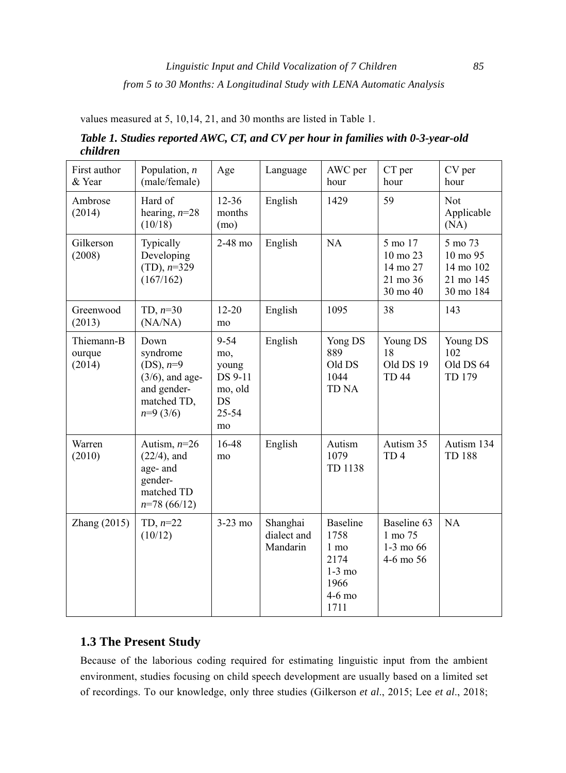values measured at 5, 10,14, 21, and 30 months are listed in Table 1.

| First author<br>& Year         | Population, $n$<br>(male/female)                                                                   | Age                                                                 | Language                            | AWC per<br>hour                                                                           | CT per<br>hour                                              | CV per<br>hour                                             |
|--------------------------------|----------------------------------------------------------------------------------------------------|---------------------------------------------------------------------|-------------------------------------|-------------------------------------------------------------------------------------------|-------------------------------------------------------------|------------------------------------------------------------|
| Ambrose<br>(2014)              | Hard of<br>hearing, $n=28$<br>(10/18)                                                              | $12 - 36$<br>months<br>(mo)                                         | English                             | 1429                                                                                      | 59                                                          | Not<br>Applicable<br>(NA)                                  |
| Gilkerson<br>(2008)            | Typically<br>Developing<br>$(TD), n=329$<br>(167/162)                                              | $2-48$ mo                                                           | English                             | NA                                                                                        | 5 mo 17<br>10 mo 23<br>14 mo 27<br>21 mo 36<br>30 mo 40     | 5 mo 73<br>10 mo 95<br>14 mo 102<br>21 mo 145<br>30 mo 184 |
| Greenwood<br>(2013)            | TD, $n=30$<br>(NA/NA)                                                                              | $12 - 20$<br>mo                                                     | English                             | 1095                                                                                      | 38                                                          | 143                                                        |
| Thiemann-B<br>ourque<br>(2014) | Down<br>syndrome<br>$(DS), n=9$<br>$(3/6)$ , and age-<br>and gender-<br>matched TD,<br>$n=9$ (3/6) | $9 - 54$<br>mo,<br>young<br>DS 9-11<br>mo, old<br>DS<br>25-54<br>mo | English                             | Yong DS<br>889<br>Old DS<br>1044<br><b>TD NA</b>                                          | Young DS<br>18<br>Old DS 19<br><b>TD 44</b>                 | Young DS<br>102<br>Old DS 64<br>TD 179                     |
| Warren<br>(2010)               | Autism, $n=26$<br>$(22/4)$ , and<br>age- and<br>gender-<br>matched TD<br>$n=78(66/12)$             | $16-48$<br>mo                                                       | English                             | Autism<br>1079<br>TD 1138                                                                 | Autism 35<br>TD <sub>4</sub>                                | Autism 134<br><b>TD 188</b>                                |
| Zhang $(2015)$                 | TD, $n=22$<br>(10/12)                                                                              | $3-23$ mo                                                           | Shanghai<br>dialect and<br>Mandarin | <b>Baseline</b><br>1758<br>$1 \text{ mo}$<br>2174<br>$1-3$ mo<br>1966<br>$4-6$ mo<br>1711 | Baseline 63<br>1 mo 75<br>$1-3 \text{ mo } 66$<br>4-6 mo 56 | NA                                                         |

*Table 1. Studies reported AWC, CT, and CV per hour in families with 0-3-year-old children* 

# **1.3 The Present Study**

Because of the laborious coding required for estimating linguistic input from the ambient environment, studies focusing on child speech development are usually based on a limited set of recordings. To our knowledge, only three studies (Gilkerson *et al*., 2015; Lee *et al*., 2018;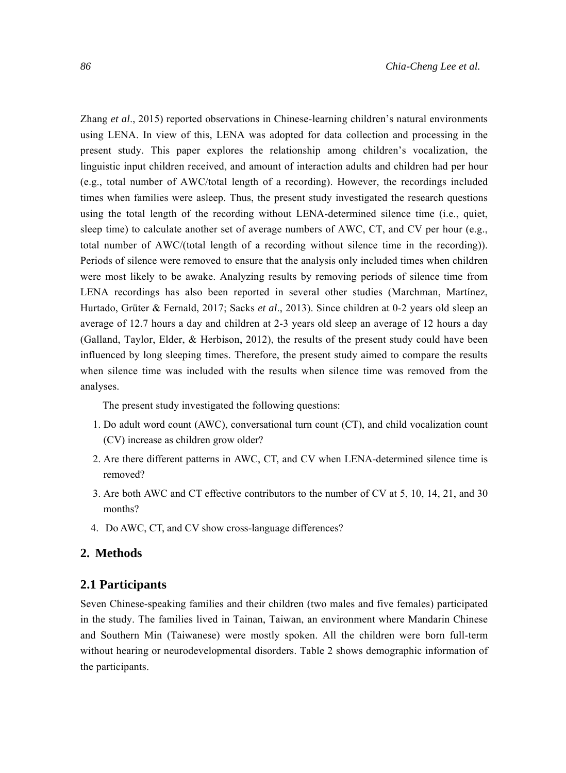Zhang *et al*., 2015) reported observations in Chinese-learning children's natural environments using LENA. In view of this, LENA was adopted for data collection and processing in the present study. This paper explores the relationship among children's vocalization, the linguistic input children received, and amount of interaction adults and children had per hour (e.g., total number of AWC/total length of a recording). However, the recordings included times when families were asleep. Thus, the present study investigated the research questions using the total length of the recording without LENA-determined silence time (i.e., quiet, sleep time) to calculate another set of average numbers of AWC, CT, and CV per hour (e.g., total number of AWC/(total length of a recording without silence time in the recording)). Periods of silence were removed to ensure that the analysis only included times when children were most likely to be awake. Analyzing results by removing periods of silence time from LENA recordings has also been reported in several other studies (Marchman, Martínez, Hurtado, Grüter & Fernald, 2017; Sacks *et al*., 2013). Since children at 0-2 years old sleep an average of 12.7 hours a day and children at 2-3 years old sleep an average of 12 hours a day (Galland, Taylor, Elder, & Herbison, 2012), the results of the present study could have been influenced by long sleeping times. Therefore, the present study aimed to compare the results when silence time was included with the results when silence time was removed from the analyses.

The present study investigated the following questions:

- 1. Do adult word count (AWC), conversational turn count (CT), and child vocalization count (CV) increase as children grow older?
- 2. Are there different patterns in AWC, CT, and CV when LENA-determined silence time is removed?
- 3. Are both AWC and CT effective contributors to the number of CV at 5, 10, 14, 21, and 30 months?
- 4. Do AWC, CT, and CV show cross-language differences?

# **2. Methods**

#### **2.1 Participants**

Seven Chinese-speaking families and their children (two males and five females) participated in the study. The families lived in Tainan, Taiwan, an environment where Mandarin Chinese and Southern Min (Taiwanese) were mostly spoken. All the children were born full-term without hearing or neurodevelopmental disorders. Table 2 shows demographic information of the participants.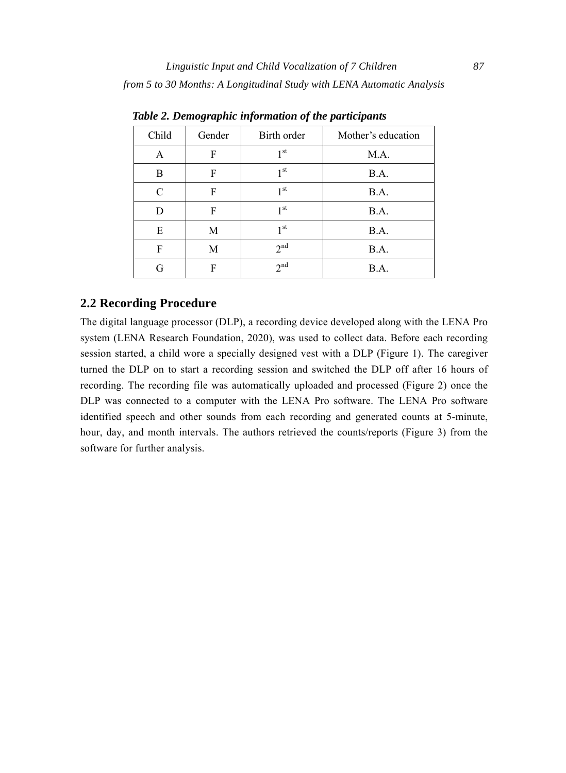| Child         | Gender | Birth order     | Mother's education |
|---------------|--------|-----------------|--------------------|
| A             | F      | 1 <sup>st</sup> | M.A.               |
| B             | F      | 1 <sup>st</sup> | B.A.               |
| $\mathcal{C}$ | F      | 1 <sup>st</sup> | B.A.               |
| D             | F      | 1 <sub>st</sub> | B.A.               |
| E             | M      | 1 <sup>st</sup> | B.A.               |
| F             | M      | 2 <sup>nd</sup> | B.A.               |
|               | F      | 2 <sup>nd</sup> | B.A.               |

*Table 2. Demographic information of the participants* 

# **2.2 Recording Procedure**

The digital language processor (DLP), a recording device developed along with the LENA Pro system (LENA Research Foundation, 2020), was used to collect data. Before each recording session started, a child wore a specially designed vest with a DLP (Figure 1). The caregiver turned the DLP on to start a recording session and switched the DLP off after 16 hours of recording. The recording file was automatically uploaded and processed (Figure 2) once the DLP was connected to a computer with the LENA Pro software. The LENA Pro software identified speech and other sounds from each recording and generated counts at 5-minute, hour, day, and month intervals. The authors retrieved the counts/reports (Figure 3) from the software for further analysis.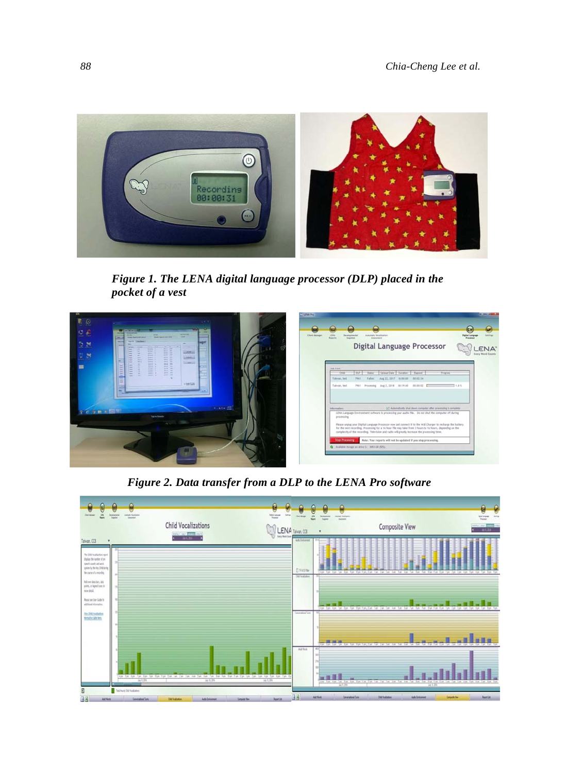

*Figure 1. The LENA digital language processor (DLP) placed in the pocket of a vest* 



*Figure 2. Data transfer from a DLP to the LENA Pro software* 

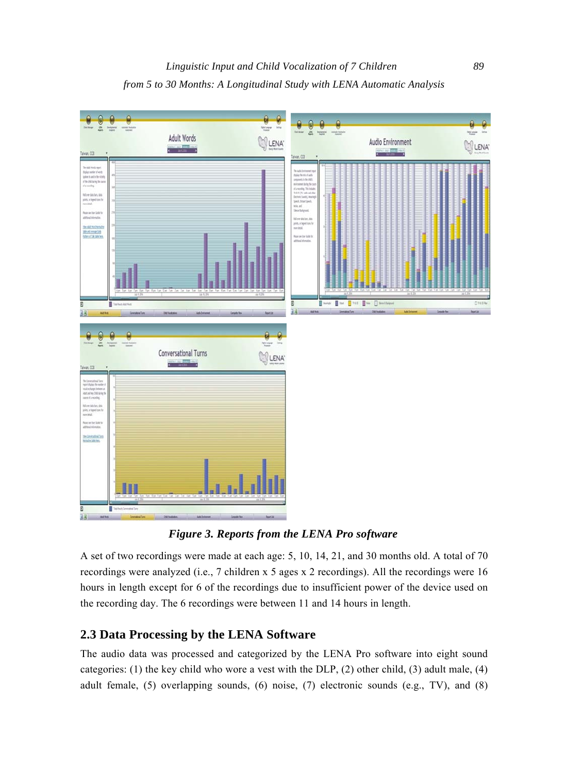

*Figure 3. Reports from the LENA Pro software* 

A set of two recordings were made at each age: 5, 10, 14, 21, and 30 months old. A total of 70 recordings were analyzed (i.e., 7 children x 5 ages x 2 recordings). All the recordings were 16 hours in length except for 6 of the recordings due to insufficient power of the device used on the recording day. The 6 recordings were between 11 and 14 hours in length.

# **2.3 Data Processing by the LENA Software**

The audio data was processed and categorized by the LENA Pro software into eight sound categories: (1) the key child who wore a vest with the DLP, (2) other child, (3) adult male, (4) adult female, (5) overlapping sounds, (6) noise, (7) electronic sounds (e.g., TV), and (8)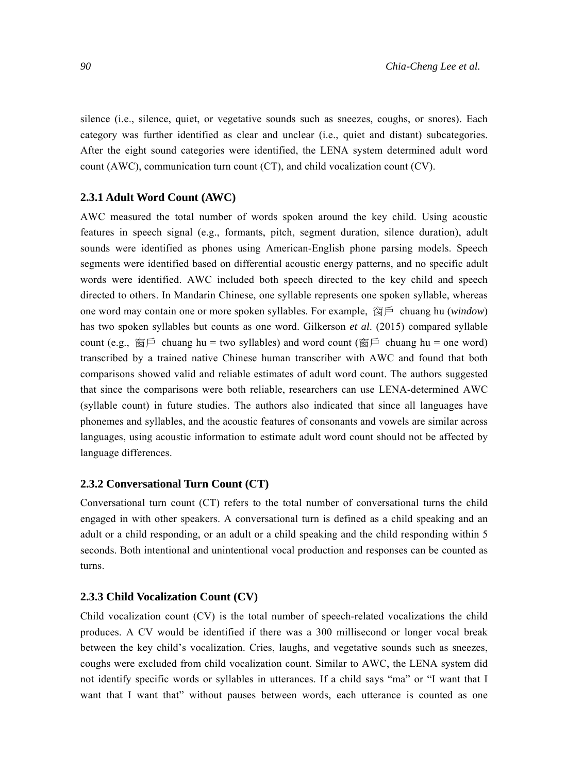silence (i.e., silence, quiet, or vegetative sounds such as sneezes, coughs, or snores). Each category was further identified as clear and unclear (i.e., quiet and distant) subcategories. After the eight sound categories were identified, the LENA system determined adult word count (AWC), communication turn count (CT), and child vocalization count (CV).

#### **2.3.1 Adult Word Count (AWC)**

AWC measured the total number of words spoken around the key child. Using acoustic features in speech signal (e.g., formants, pitch, segment duration, silence duration), adult sounds were identified as phones using American-English phone parsing models. Speech segments were identified based on differential acoustic energy patterns, and no specific adult words were identified. AWC included both speech directed to the key child and speech directed to others. In Mandarin Chinese, one syllable represents one spoken syllable, whereas one word may contain one or more spoken syllables. For example, 窗戶 chuang hu (*window*) has two spoken syllables but counts as one word. Gilkerson *et al*. (2015) compared syllable count (e.g., 窗戶 chuang hu = two syllables) and word count (窗戶 chuang hu = one word) transcribed by a trained native Chinese human transcriber with AWC and found that both comparisons showed valid and reliable estimates of adult word count. The authors suggested that since the comparisons were both reliable, researchers can use LENA-determined AWC (syllable count) in future studies. The authors also indicated that since all languages have phonemes and syllables, and the acoustic features of consonants and vowels are similar across languages, using acoustic information to estimate adult word count should not be affected by language differences.

#### **2.3.2 Conversational Turn Count (CT)**

Conversational turn count (CT) refers to the total number of conversational turns the child engaged in with other speakers. A conversational turn is defined as a child speaking and an adult or a child responding, or an adult or a child speaking and the child responding within 5 seconds. Both intentional and unintentional vocal production and responses can be counted as turns.

#### **2.3.3 Child Vocalization Count (CV)**

Child vocalization count (CV) is the total number of speech-related vocalizations the child produces. A CV would be identified if there was a 300 millisecond or longer vocal break between the key child's vocalization. Cries, laughs, and vegetative sounds such as sneezes, coughs were excluded from child vocalization count. Similar to AWC, the LENA system did not identify specific words or syllables in utterances. If a child says "ma" or "I want that I want that I want that" without pauses between words, each utterance is counted as one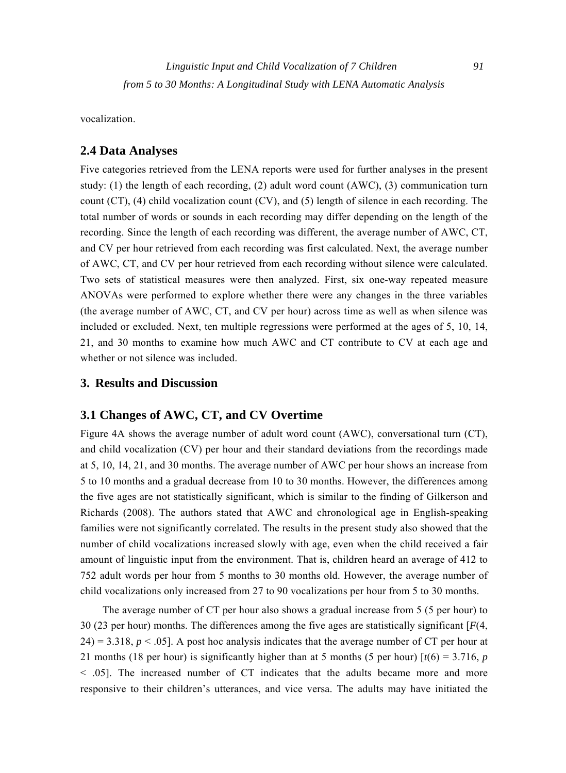vocalization.

# **2.4 Data Analyses**

Five categories retrieved from the LENA reports were used for further analyses in the present study: (1) the length of each recording, (2) adult word count (AWC), (3) communication turn count (CT), (4) child vocalization count (CV), and (5) length of silence in each recording. The total number of words or sounds in each recording may differ depending on the length of the recording. Since the length of each recording was different, the average number of AWC, CT, and CV per hour retrieved from each recording was first calculated. Next, the average number of AWC, CT, and CV per hour retrieved from each recording without silence were calculated. Two sets of statistical measures were then analyzed. First, six one-way repeated measure ANOVAs were performed to explore whether there were any changes in the three variables (the average number of AWC, CT, and CV per hour) across time as well as when silence was included or excluded. Next, ten multiple regressions were performed at the ages of 5, 10, 14, 21, and 30 months to examine how much AWC and CT contribute to CV at each age and whether or not silence was included.

## **3. Results and Discussion**

### **3.1 Changes of AWC, CT, and CV Overtime**

Figure 4A shows the average number of adult word count (AWC), conversational turn (CT), and child vocalization (CV) per hour and their standard deviations from the recordings made at 5, 10, 14, 21, and 30 months. The average number of AWC per hour shows an increase from 5 to 10 months and a gradual decrease from 10 to 30 months. However, the differences among the five ages are not statistically significant, which is similar to the finding of Gilkerson and Richards (2008). The authors stated that AWC and chronological age in English-speaking families were not significantly correlated. The results in the present study also showed that the number of child vocalizations increased slowly with age, even when the child received a fair amount of linguistic input from the environment. That is, children heard an average of 412 to 752 adult words per hour from 5 months to 30 months old. However, the average number of child vocalizations only increased from 27 to 90 vocalizations per hour from 5 to 30 months.

The average number of CT per hour also shows a gradual increase from 5 (5 per hour) to 30 (23 per hour) months. The differences among the five ages are statistically significant [*F*(4,  $24$ ) = 3.318,  $p < .05$ ]. A post hoc analysis indicates that the average number of CT per hour at 21 months (18 per hour) is significantly higher than at 5 months (5 per hour)  $\lceil t(6) = 3.716, p$ < .05]. The increased number of CT indicates that the adults became more and more responsive to their children's utterances, and vice versa. The adults may have initiated the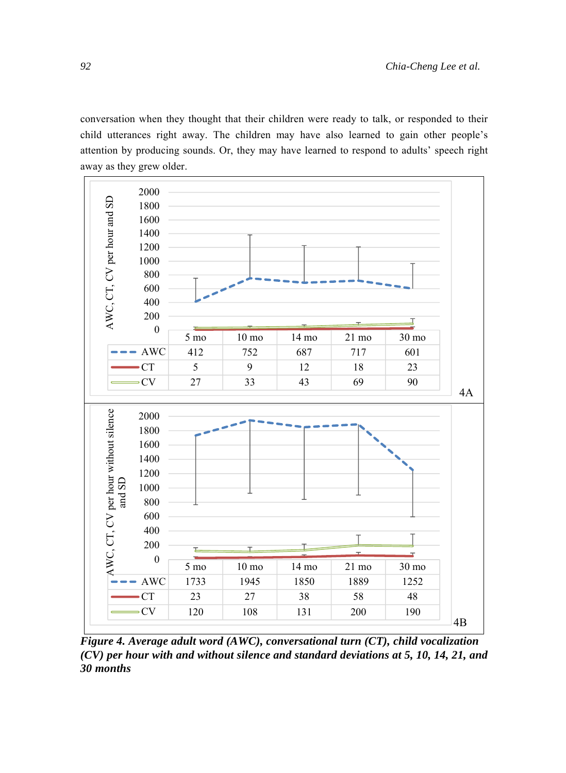conversation when they thought that their children were ready to talk, or responded to their child utterances right away. The children may have also learned to gain other people's attention by producing sounds. Or, they may have learned to respond to adults' speech right away as they grew older.



*Figure 4. Average adult word (AWC), conversational turn (CT), child vocalization (CV) per hour with and without silence and standard deviations at 5, 10, 14, 21, and 30 months*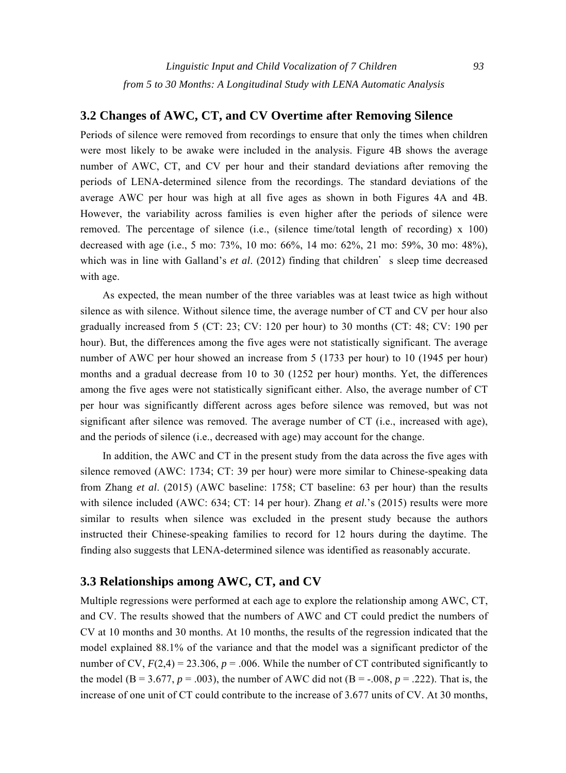# **3.2 Changes of AWC, CT, and CV Overtime after Removing Silence**

Periods of silence were removed from recordings to ensure that only the times when children were most likely to be awake were included in the analysis. Figure 4B shows the average number of AWC, CT, and CV per hour and their standard deviations after removing the periods of LENA-determined silence from the recordings. The standard deviations of the average AWC per hour was high at all five ages as shown in both Figures 4A and 4B. However, the variability across families is even higher after the periods of silence were removed. The percentage of silence (i.e., (silence time/total length of recording) x 100) decreased with age (i.e., 5 mo: 73%, 10 mo: 66%, 14 mo: 62%, 21 mo: 59%, 30 mo: 48%), which was in line with Galland's *et al.* (2012) finding that children's sleep time decreased with age.

As expected, the mean number of the three variables was at least twice as high without silence as with silence. Without silence time, the average number of CT and CV per hour also gradually increased from 5 (CT: 23; CV: 120 per hour) to 30 months (CT: 48; CV: 190 per hour). But, the differences among the five ages were not statistically significant. The average number of AWC per hour showed an increase from 5 (1733 per hour) to 10 (1945 per hour) months and a gradual decrease from 10 to 30 (1252 per hour) months. Yet, the differences among the five ages were not statistically significant either. Also, the average number of CT per hour was significantly different across ages before silence was removed, but was not significant after silence was removed. The average number of CT (i.e., increased with age), and the periods of silence (i.e., decreased with age) may account for the change.

In addition, the AWC and CT in the present study from the data across the five ages with silence removed (AWC: 1734; CT: 39 per hour) were more similar to Chinese-speaking data from Zhang *et al*. (2015) (AWC baseline: 1758; CT baseline: 63 per hour) than the results with silence included (AWC: 634; CT: 14 per hour). Zhang *et al.*'s (2015) results were more similar to results when silence was excluded in the present study because the authors instructed their Chinese-speaking families to record for 12 hours during the daytime. The finding also suggests that LENA-determined silence was identified as reasonably accurate.

# **3.3 Relationships among AWC, CT, and CV**

Multiple regressions were performed at each age to explore the relationship among AWC, CT, and CV. The results showed that the numbers of AWC and CT could predict the numbers of CV at 10 months and 30 months. At 10 months, the results of the regression indicated that the model explained 88.1% of the variance and that the model was a significant predictor of the number of CV,  $F(2,4) = 23.306$ ,  $p = .006$ . While the number of CT contributed significantly to the model (B = 3.677,  $p = .003$ ), the number of AWC did not (B = -.008,  $p = .222$ ). That is, the increase of one unit of CT could contribute to the increase of 3.677 units of CV. At 30 months,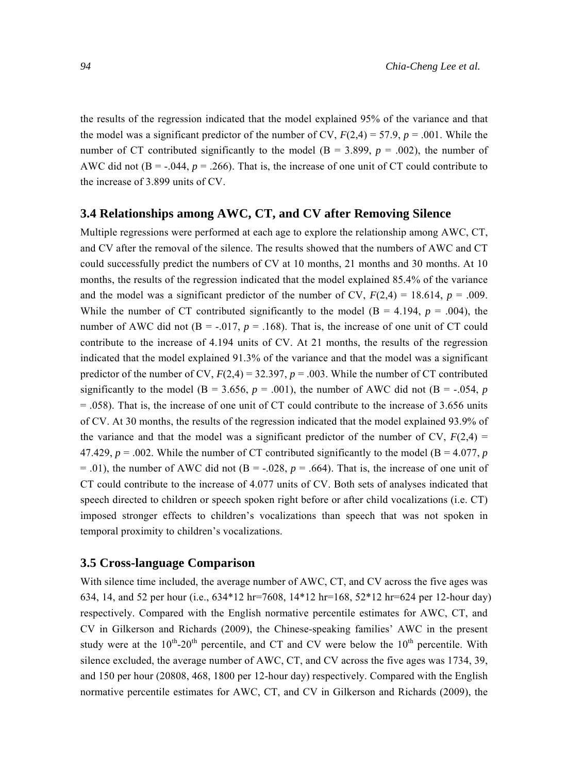the results of the regression indicated that the model explained 95% of the variance and that the model was a significant predictor of the number of CV,  $F(2,4) = 57.9$ ,  $p = .001$ . While the number of CT contributed significantly to the model ( $B = 3.899$ ,  $p = .002$ ), the number of AWC did not  $(B = -0.044, p = 0.266)$ . That is, the increase of one unit of CT could contribute to the increase of 3.899 units of CV.

#### **3.4 Relationships among AWC, CT, and CV after Removing Silence**

Multiple regressions were performed at each age to explore the relationship among AWC, CT, and CV after the removal of the silence. The results showed that the numbers of AWC and CT could successfully predict the numbers of CV at 10 months, 21 months and 30 months. At 10 months, the results of the regression indicated that the model explained 85.4% of the variance and the model was a significant predictor of the number of CV,  $F(2,4) = 18.614$ ,  $p = .009$ . While the number of CT contributed significantly to the model  $(B = 4.194, p = .004)$ , the number of AWC did not  $(B = -0.017, p = 0.168)$ . That is, the increase of one unit of CT could contribute to the increase of 4.194 units of CV. At 21 months, the results of the regression indicated that the model explained 91.3% of the variance and that the model was a significant predictor of the number of CV,  $F(2,4) = 32.397$ ,  $p = .003$ . While the number of CT contributed significantly to the model (B = 3.656,  $p = .001$ ), the number of AWC did not (B = -.054,  $p$ ) = .058). That is, the increase of one unit of CT could contribute to the increase of 3.656 units of CV. At 30 months, the results of the regression indicated that the model explained 93.9% of the variance and that the model was a significant predictor of the number of CV,  $F(2,4) =$ 47.429,  $p = 0.002$ . While the number of CT contributed significantly to the model (B = 4.077, *p*  $= .01$ ), the number of AWC did not (B =  $-.028$ ,  $p = .664$ ). That is, the increase of one unit of CT could contribute to the increase of 4.077 units of CV. Both sets of analyses indicated that speech directed to children or speech spoken right before or after child vocalizations (i.e. CT) imposed stronger effects to children's vocalizations than speech that was not spoken in temporal proximity to children's vocalizations.

#### **3.5 Cross-language Comparison**

With silence time included, the average number of AWC, CT, and CV across the five ages was 634, 14, and 52 per hour (i.e., 634\*12 hr=7608, 14\*12 hr=168, 52\*12 hr=624 per 12-hour day) respectively. Compared with the English normative percentile estimates for AWC, CT, and CV in Gilkerson and Richards (2009), the Chinese-speaking families' AWC in the present study were at the  $10^{th}$ -20<sup>th</sup> percentile, and CT and CV were below the  $10^{th}$  percentile. With silence excluded, the average number of AWC, CT, and CV across the five ages was 1734, 39, and 150 per hour (20808, 468, 1800 per 12-hour day) respectively. Compared with the English normative percentile estimates for AWC, CT, and CV in Gilkerson and Richards (2009), the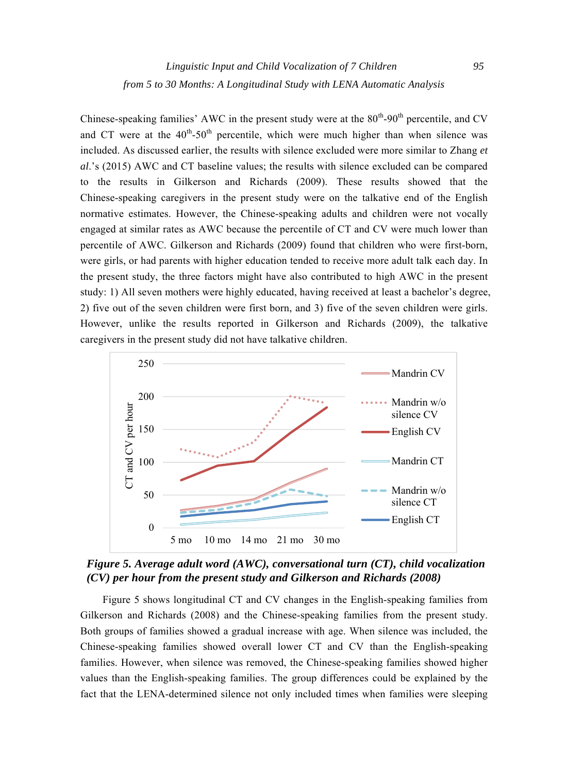Chinese-speaking families' AWC in the present study were at the  $80^{th}$ -90<sup>th</sup> percentile, and CV and CT were at the  $40^{th}$ -50<sup>th</sup> percentile, which were much higher than when silence was included. As discussed earlier, the results with silence excluded were more similar to Zhang *et al*.'s (2015) AWC and CT baseline values; the results with silence excluded can be compared to the results in Gilkerson and Richards (2009). These results showed that the Chinese-speaking caregivers in the present study were on the talkative end of the English normative estimates. However, the Chinese-speaking adults and children were not vocally engaged at similar rates as AWC because the percentile of CT and CV were much lower than percentile of AWC. Gilkerson and Richards (2009) found that children who were first-born, were girls, or had parents with higher education tended to receive more adult talk each day. In the present study, the three factors might have also contributed to high AWC in the present study: 1) All seven mothers were highly educated, having received at least a bachelor's degree, 2) five out of the seven children were first born, and 3) five of the seven children were girls. However, unlike the results reported in Gilkerson and Richards (2009), the talkative caregivers in the present study did not have talkative children.



*Figure 5. Average adult word (AWC), conversational turn (CT), child vocalization (CV) per hour from the present study and Gilkerson and Richards (2008)* 

Figure 5 shows longitudinal CT and CV changes in the English-speaking families from Gilkerson and Richards (2008) and the Chinese-speaking families from the present study. Both groups of families showed a gradual increase with age. When silence was included, the Chinese-speaking families showed overall lower CT and CV than the English-speaking families. However, when silence was removed, the Chinese-speaking families showed higher values than the English-speaking families. The group differences could be explained by the fact that the LENA-determined silence not only included times when families were sleeping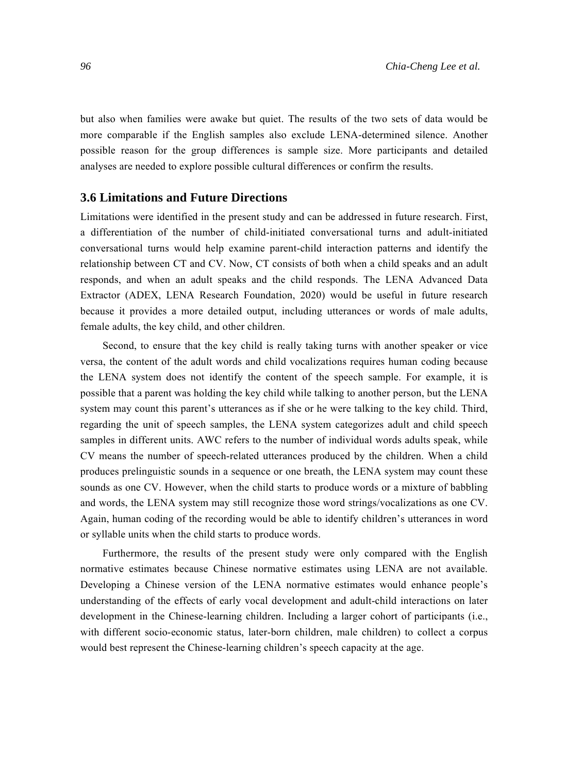but also when families were awake but quiet. The results of the two sets of data would be more comparable if the English samples also exclude LENA-determined silence. Another possible reason for the group differences is sample size. More participants and detailed analyses are needed to explore possible cultural differences or confirm the results.

# **3.6 Limitations and Future Directions**

Limitations were identified in the present study and can be addressed in future research. First, a differentiation of the number of child-initiated conversational turns and adult-initiated conversational turns would help examine parent-child interaction patterns and identify the relationship between CT and CV. Now, CT consists of both when a child speaks and an adult responds, and when an adult speaks and the child responds. The LENA Advanced Data Extractor (ADEX, LENA Research Foundation, 2020) would be useful in future research because it provides a more detailed output, including utterances or words of male adults, female adults, the key child, and other children.

Second, to ensure that the key child is really taking turns with another speaker or vice versa, the content of the adult words and child vocalizations requires human coding because the LENA system does not identify the content of the speech sample. For example, it is possible that a parent was holding the key child while talking to another person, but the LENA system may count this parent's utterances as if she or he were talking to the key child. Third, regarding the unit of speech samples, the LENA system categorizes adult and child speech samples in different units. AWC refers to the number of individual words adults speak, while CV means the number of speech-related utterances produced by the children. When a child produces prelinguistic sounds in a sequence or one breath, the LENA system may count these sounds as one CV. However, when the child starts to produce words or a mixture of babbling and words, the LENA system may still recognize those word strings/vocalizations as one CV. Again, human coding of the recording would be able to identify children's utterances in word or syllable units when the child starts to produce words.

Furthermore, the results of the present study were only compared with the English normative estimates because Chinese normative estimates using LENA are not available. Developing a Chinese version of the LENA normative estimates would enhance people's understanding of the effects of early vocal development and adult-child interactions on later development in the Chinese-learning children. Including a larger cohort of participants (i.e., with different socio-economic status, later-born children, male children) to collect a corpus would best represent the Chinese-learning children's speech capacity at the age.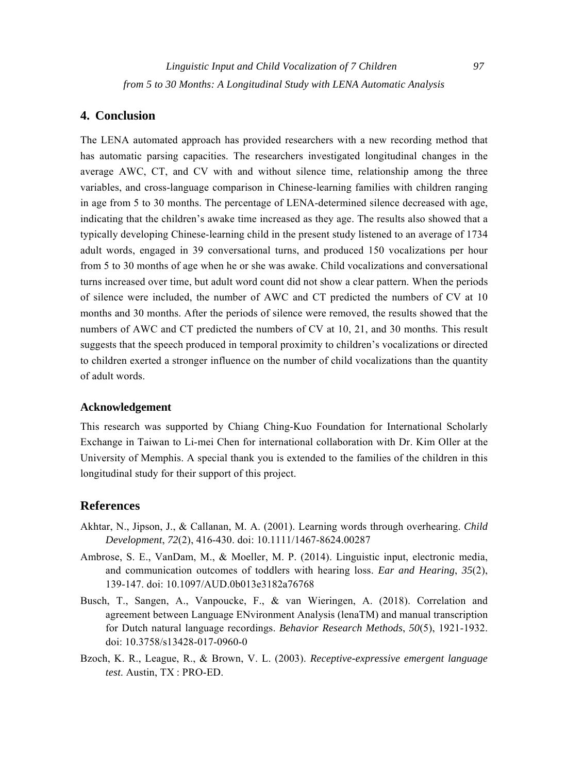# **4. Conclusion**

The LENA automated approach has provided researchers with a new recording method that has automatic parsing capacities. The researchers investigated longitudinal changes in the average AWC, CT, and CV with and without silence time, relationship among the three variables, and cross-language comparison in Chinese-learning families with children ranging in age from 5 to 30 months. The percentage of LENA-determined silence decreased with age, indicating that the children's awake time increased as they age. The results also showed that a typically developing Chinese-learning child in the present study listened to an average of 1734 adult words, engaged in 39 conversational turns, and produced 150 vocalizations per hour from 5 to 30 months of age when he or she was awake. Child vocalizations and conversational turns increased over time, but adult word count did not show a clear pattern. When the periods of silence were included, the number of AWC and CT predicted the numbers of CV at 10 months and 30 months. After the periods of silence were removed, the results showed that the numbers of AWC and CT predicted the numbers of CV at 10, 21, and 30 months. This result suggests that the speech produced in temporal proximity to children's vocalizations or directed to children exerted a stronger influence on the number of child vocalizations than the quantity of adult words.

#### **Acknowledgement**

This research was supported by Chiang Ching-Kuo Foundation for International Scholarly Exchange in Taiwan to Li-mei Chen for international collaboration with Dr. Kim Oller at the University of Memphis. A special thank you is extended to the families of the children in this longitudinal study for their support of this project.

#### **References**

- Akhtar, N., Jipson, J., & Callanan, M. A. (2001). Learning words through overhearing. *Child Development*, *72*(2), 416-430. doi: 10.1111/1467-8624.00287
- Ambrose, S. E., VanDam, M., & Moeller, M. P. (2014). Linguistic input, electronic media, and communication outcomes of toddlers with hearing loss. *Ear and Hearing*, *35*(2), 139-147. doi: 10.1097/AUD.0b013e3182a76768
- Busch, T., Sangen, A., Vanpoucke, F., & van Wieringen, A. (2018). Correlation and agreement between Language ENvironment Analysis (lenaTM) and manual transcription for Dutch natural language recordings. *Behavior Research Methods*, *50*(5), 1921-1932. doi: 10.3758/s13428-017-0960-0
- Bzoch, K. R., League, R., & Brown, V. L. (2003). *Receptive-expressive emergent language test*. Austin, TX : PRO-ED.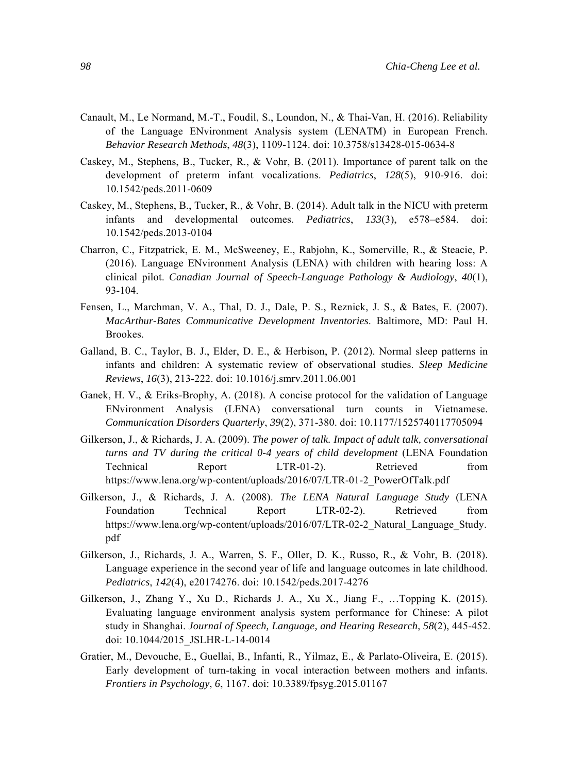- Canault, M., Le Normand, M.-T., Foudil, S., Loundon, N., & Thai-Van, H. (2016). Reliability of the Language ENvironment Analysis system (LENATM) in European French. *Behavior Research Methods*, *48*(3), 1109-1124. doi: 10.3758/s13428-015-0634-8
- Caskey, M., Stephens, B., Tucker, R., & Vohr, B. (2011). Importance of parent talk on the development of preterm infant vocalizations. *Pediatrics*, *128*(5), 910-916. doi: 10.1542/peds.2011-0609
- Caskey, M., Stephens, B., Tucker, R., & Vohr, B. (2014). Adult talk in the NICU with preterm infants and developmental outcomes. *Pediatrics*, *133*(3), e578–e584. doi: 10.1542/peds.2013-0104
- Charron, C., Fitzpatrick, E. M., McSweeney, E., Rabjohn, K., Somerville, R., & Steacie, P. (2016). Language ENvironment Analysis (LENA) with children with hearing loss: A clinical pilot. *Canadian Journal of Speech-Language Pathology & Audiology*, *40*(1), 93-104.
- Fensen, L., Marchman, V. A., Thal, D. J., Dale, P. S., Reznick, J. S., & Bates, E. (2007). *MacArthur-Bates Communicative Development Inventories*. Baltimore, MD: Paul H. Brookes.
- Galland, B. C., Taylor, B. J., Elder, D. E., & Herbison, P. (2012). Normal sleep patterns in infants and children: A systematic review of observational studies. *Sleep Medicine Reviews*, *16*(3), 213-222. doi: 10.1016/j.smrv.2011.06.001
- Ganek, H. V., & Eriks-Brophy, A. (2018). A concise protocol for the validation of Language ENvironment Analysis (LENA) conversational turn counts in Vietnamese. *Communication Disorders Quarterly*, *39*(2), 371-380. doi: 10.1177/1525740117705094
- Gilkerson, J., & Richards, J. A. (2009). *The power of talk. Impact of adult talk, conversational turns and TV during the critical 0-4 years of child development* (LENA Foundation Technical Report LTR-01-2). Retrieved from https://www.lena.org/wp-content/uploads/2016/07/LTR-01-2\_PowerOfTalk.pdf
- Gilkerson, J., & Richards, J. A. (2008). *The LENA Natural Language Study* (LENA Foundation Technical Report LTR-02-2). Retrieved from https://www.lena.org/wp-content/uploads/2016/07/LTR-02-2 Natural Language Study. pdf
- Gilkerson, J., Richards, J. A., Warren, S. F., Oller, D. K., Russo, R., & Vohr, B. (2018). Language experience in the second year of life and language outcomes in late childhood. *Pediatrics*, *142*(4), e20174276. doi: 10.1542/peds.2017-4276
- Gilkerson, J., Zhang Y., Xu D., Richards J. A., Xu X., Jiang F., …Topping K. (2015). Evaluating language environment analysis system performance for Chinese: A pilot study in Shanghai. *Journal of Speech, Language, and Hearing Research*, *58*(2), 445-452. doi: 10.1044/2015\_JSLHR-L-14-0014
- Gratier, M., Devouche, E., Guellai, B., Infanti, R., Yilmaz, E., & Parlato-Oliveira, E. (2015). Early development of turn-taking in vocal interaction between mothers and infants. *Frontiers in Psychology*, *6*, 1167. doi: 10.3389/fpsyg.2015.01167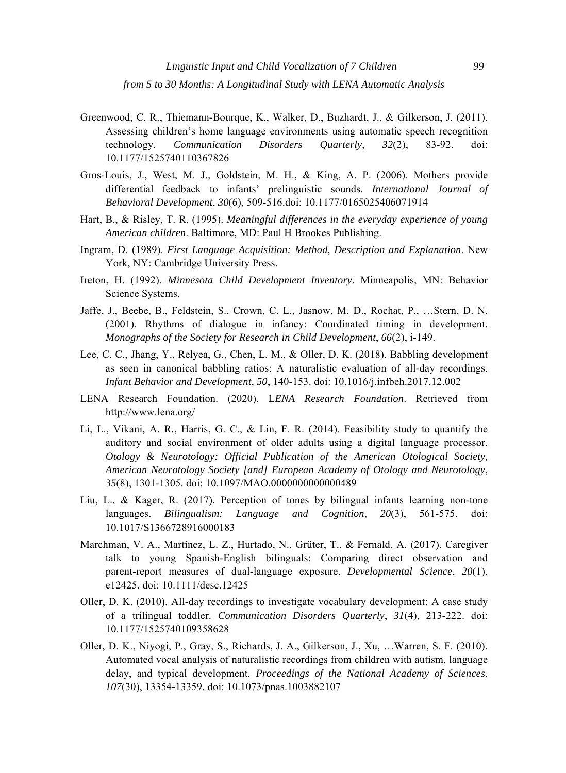- Greenwood, C. R., Thiemann-Bourque, K., Walker, D., Buzhardt, J., & Gilkerson, J. (2011). Assessing children's home language environments using automatic speech recognition technology. *Communication Disorders Quarterly*, *32*(2), 83-92. doi: 10.1177/1525740110367826
- Gros-Louis, J., West, M. J., Goldstein, M. H., & King, A. P. (2006). Mothers provide differential feedback to infants' prelinguistic sounds. *International Journal of Behavioral Development*, *30*(6), 509-516.doi: 10.1177/0165025406071914
- Hart, B., & Risley, T. R. (1995). *Meaningful differences in the everyday experience of young American children*. Baltimore, MD: Paul H Brookes Publishing.
- Ingram, D. (1989). *First Language Acquisition: Method, Description and Explanation*. New York, NY: Cambridge University Press.
- Ireton, H. (1992). *Minnesota Child Development Inventory*. Minneapolis, MN: Behavior Science Systems.
- Jaffe, J., Beebe, B., Feldstein, S., Crown, C. L., Jasnow, M. D., Rochat, P., …Stern, D. N. (2001). Rhythms of dialogue in infancy: Coordinated timing in development. *Monographs of the Society for Research in Child Development*, *66*(2), i-149.
- Lee, C. C., Jhang, Y., Relyea, G., Chen, L. M., & Oller, D. K. (2018). Babbling development as seen in canonical babbling ratios: A naturalistic evaluation of all-day recordings. *Infant Behavior and Development*, *50*, 140-153. doi: 10.1016/j.infbeh.2017.12.002
- LENA Research Foundation. (2020). L*ENA Research Foundation*. Retrieved from http://www.lena.org/
- Li, L., Vikani, A. R., Harris, G. C., & Lin, F. R. (2014). Feasibility study to quantify the auditory and social environment of older adults using a digital language processor. *Otology & Neurotology: Official Publication of the American Otological Society, American Neurotology Society [and] European Academy of Otology and Neurotology*, *35*(8), 1301-1305. doi: 10.1097/MAO.0000000000000489
- Liu, L., & Kager, R. (2017). Perception of tones by bilingual infants learning non-tone languages. *Bilingualism: Language and Cognition*, *20*(3), 561-575. doi: 10.1017/S1366728916000183
- Marchman, V. A., Martínez, L. Z., Hurtado, N., Grüter, T., & Fernald, A. (2017). Caregiver talk to young Spanish-English bilinguals: Comparing direct observation and parent-report measures of dual-language exposure. *Developmental Science*, *20*(1), e12425. doi: 10.1111/desc.12425
- Oller, D. K. (2010). All-day recordings to investigate vocabulary development: A case study of a trilingual toddler. *Communication Disorders Quarterly*, *31*(4), 213-222. doi: 10.1177/1525740109358628
- Oller, D. K., Niyogi, P., Gray, S., Richards, J. A., Gilkerson, J., Xu, …Warren, S. F. (2010). Automated vocal analysis of naturalistic recordings from children with autism, language delay, and typical development. *Proceedings of the National Academy of Sciences*, *107*(30), 13354-13359. doi: 10.1073/pnas.1003882107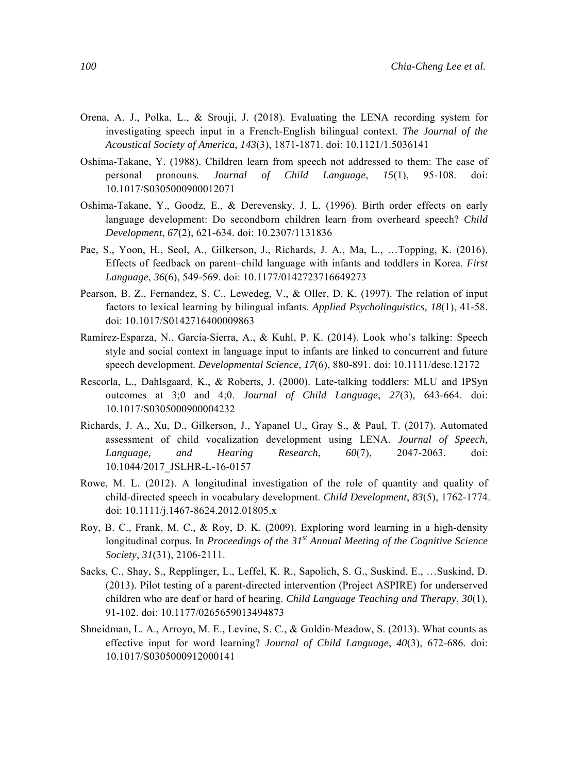- Orena, A. J., Polka, L., & Srouji, J. (2018). Evaluating the LENA recording system for investigating speech input in a French-English bilingual context. *The Journal of the Acoustical Society of America*, *143*(3), 1871-1871. doi: 10.1121/1.5036141
- Oshima-Takane, Y. (1988). Children learn from speech not addressed to them: The case of personal pronouns. *Journal of Child Language*, *15*(1), 95-108. doi: 10.1017/S0305000900012071
- Oshima-Takane, Y., Goodz, E., & Derevensky, J. L. (1996). Birth order effects on early language development: Do secondborn children learn from overheard speech? *Child Development*, *67*(2), 621-634. doi: 10.2307/1131836
- Pae, S., Yoon, H., Seol, A., Gilkerson, J., Richards, J. A., Ma, L., …Topping, K. (2016). Effects of feedback on parent–child language with infants and toddlers in Korea. *First Language*, *36*(6), 549-569. doi: 10.1177/0142723716649273
- Pearson, B. Z., Fernandez, S. C., Lewedeg, V., & Oller, D. K. (1997). The relation of input factors to lexical learning by bilingual infants. *Applied Psycholinguistics*, *18*(1), 41-58. doi: 10.1017/S0142716400009863
- Ramírez-Esparza, N., García-Sierra, A., & Kuhl, P. K. (2014). Look who's talking: Speech style and social context in language input to infants are linked to concurrent and future speech development. *Developmental Science*, *17*(6), 880-891. doi: 10.1111/desc.12172
- Rescorla, L., Dahlsgaard, K., & Roberts, J. (2000). Late-talking toddlers: MLU and IPSyn outcomes at 3;0 and 4;0. *Journal of Child Language*, *27*(3), 643-664. doi: 10.1017/S0305000900004232
- Richards, J. A., Xu, D., Gilkerson, J., Yapanel U., Gray S., & Paul, T. (2017). Automated assessment of child vocalization development using LENA. *Journal of Speech, Language, and Hearing Research*, *60*(7), 2047-2063. doi: 10.1044/2017\_JSLHR-L-16-0157
- Rowe, M. L. (2012). A longitudinal investigation of the role of quantity and quality of child-directed speech in vocabulary development. *Child Development*, *83*(5), 1762-1774. doi: 10.1111/j.1467-8624.2012.01805.x
- Roy, B. C., Frank, M. C., & Roy, D. K. (2009). Exploring word learning in a high-density longitudinal corpus. In *Proceedings of the 31st Annual Meeting of the Cognitive Science Society*, *31*(31), 2106-2111.
- Sacks, C., Shay, S., Repplinger, L., Leffel, K. R., Sapolich, S. G., Suskind, E., …Suskind, D. (2013). Pilot testing of a parent-directed intervention (Project ASPIRE) for underserved children who are deaf or hard of hearing. *Child Language Teaching and Therapy*, *30*(1), 91-102. doi: 10.1177/0265659013494873
- Shneidman, L. A., Arroyo, M. E., Levine, S. C., & Goldin-Meadow, S. (2013). What counts as effective input for word learning? *Journal of Child Language*, *40*(3), 672-686. doi: 10.1017/S0305000912000141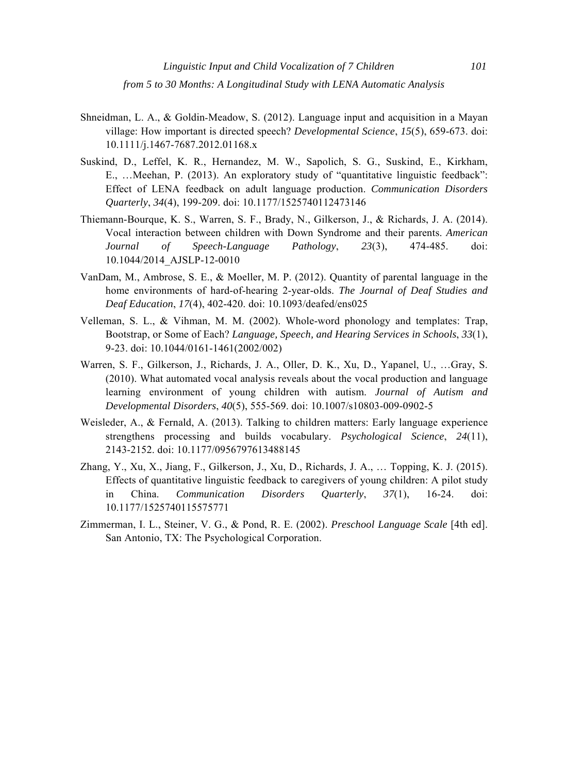- Shneidman, L. A., & Goldin-Meadow, S. (2012). Language input and acquisition in a Mayan village: How important is directed speech? *Developmental Science*, *15*(5), 659-673. doi: 10.1111/j.1467-7687.2012.01168.x
- Suskind, D., Leffel, K. R., Hernandez, M. W., Sapolich, S. G., Suskind, E., Kirkham, E., …Meehan, P. (2013). An exploratory study of "quantitative linguistic feedback": Effect of LENA feedback on adult language production. *Communication Disorders Quarterly*, *34*(4), 199-209. doi: 10.1177/1525740112473146
- Thiemann-Bourque, K. S., Warren, S. F., Brady, N., Gilkerson, J., & Richards, J. A. (2014). Vocal interaction between children with Down Syndrome and their parents. *American Journal of Speech-Language Pathology*, *23*(3), 474-485. doi: 10.1044/2014\_AJSLP-12-0010
- VanDam, M., Ambrose, S. E., & Moeller, M. P. (2012). Quantity of parental language in the home environments of hard-of-hearing 2-year-olds. *The Journal of Deaf Studies and Deaf Education*, *17*(4), 402-420. doi: 10.1093/deafed/ens025
- Velleman, S. L., & Vihman, M. M. (2002). Whole-word phonology and templates: Trap, Bootstrap, or Some of Each? *Language, Speech, and Hearing Services in Schools*, *33*(1), 9-23. doi: 10.1044/0161-1461(2002/002)
- Warren, S. F., Gilkerson, J., Richards, J. A., Oller, D. K., Xu, D., Yapanel, U., …Gray, S. (2010). What automated vocal analysis reveals about the vocal production and language learning environment of young children with autism. *Journal of Autism and Developmental Disorders*, *40*(5), 555-569. doi: 10.1007/s10803-009-0902-5
- Weisleder, A., & Fernald, A. (2013). Talking to children matters: Early language experience strengthens processing and builds vocabulary. *Psychological Science*, *24*(11), 2143-2152. doi: 10.1177/0956797613488145
- Zhang, Y., Xu, X., Jiang, F., Gilkerson, J., Xu, D., Richards, J. A., … Topping, K. J. (2015). Effects of quantitative linguistic feedback to caregivers of young children: A pilot study in China. *Communication Disorders Quarterly*, *37*(1), 16-24. doi: 10.1177/1525740115575771
- Zimmerman, I. L., Steiner, V. G., & Pond, R. E. (2002). *Preschool Language Scale* [4th ed]. San Antonio, TX: The Psychological Corporation.